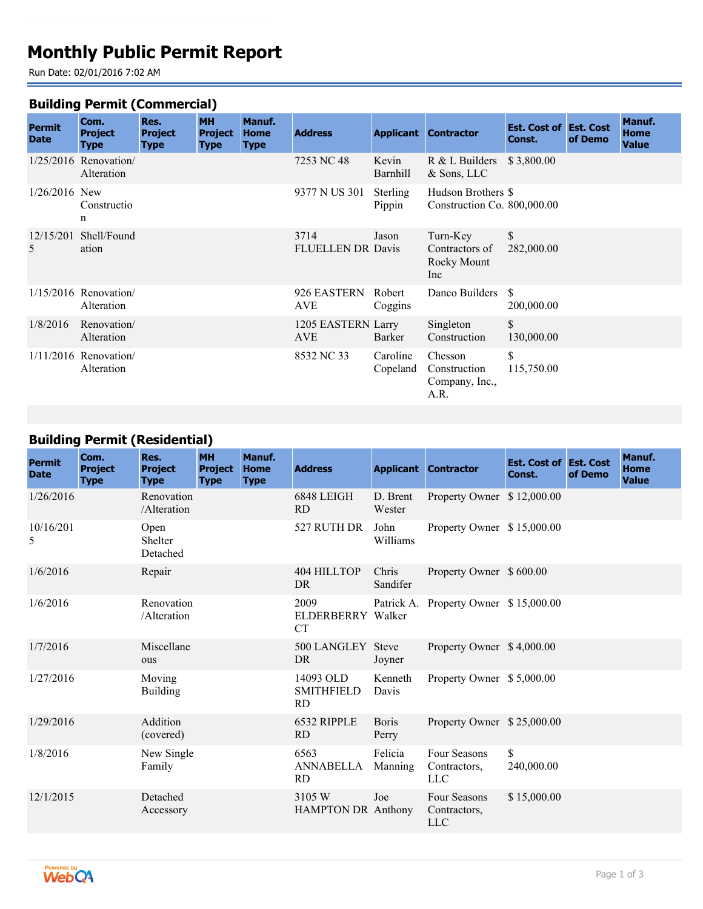# **Monthly Public Permit Report**

Run Date: 02/01/2016 7:02 AM

#### **Building Permit (Commercial)**

| <b>Permit</b><br><b>Date</b> | Com.<br><b>Project</b><br><b>Type</b> | Res.<br><b>Project</b><br><b>Type</b> | <b>MH</b><br><b>Project</b><br><b>Type</b> | Manuf.<br><b>Home</b><br><b>Type</b> | <b>Address</b>                   | <b>Applicant</b>     | <b>Contractor</b>                                 | <b>Est. Cost of Est. Cost</b><br><b>Const.</b> | of Demo | Manuf.<br><b>Home</b><br><b>Value</b> |
|------------------------------|---------------------------------------|---------------------------------------|--------------------------------------------|--------------------------------------|----------------------------------|----------------------|---------------------------------------------------|------------------------------------------------|---------|---------------------------------------|
|                              | $1/25/2016$ Renovation<br>Alteration  |                                       |                                            |                                      | 7253 NC 48                       | Kevin<br>Barnhill    | $R & L$ Builders<br>$&$ Sons, LLC                 | \$3,800.00                                     |         |                                       |
| 1/26/2016 New                | Constructio<br>n                      |                                       |                                            |                                      | 9377 N US 301                    | Sterling<br>Pippin   | Hudson Brothers \$<br>Construction Co. 800,000.00 |                                                |         |                                       |
| 12/15/201<br>5               | Shell/Found<br>ation                  |                                       |                                            |                                      | 3714<br>FLUELLEN DR Davis        | Jason                | Turn-Key<br>Contractors of<br>Rocky Mount<br>Inc  | \$<br>282,000.00                               |         |                                       |
|                              | $1/15/2016$ Renovation<br>Alteration  |                                       |                                            |                                      | 926 EASTERN<br><b>AVE</b>        | Robert<br>Coggins    | Danco Builders                                    | \$.<br>200,000.00                              |         |                                       |
| 1/8/2016                     | Renovation/<br>Alteration             |                                       |                                            |                                      | 1205 EASTERN Larry<br><b>AVE</b> | Barker               | Singleton<br>Construction                         | $\mathbb{S}$<br>130,000.00                     |         |                                       |
|                              | $1/11/2016$ Renovation<br>Alteration  |                                       |                                            |                                      | 8532 NC 33                       | Caroline<br>Copeland | Chesson<br>Construction<br>Company, Inc.,<br>A.R. | \$<br>115,750.00                               |         |                                       |

## **Building Permit (Residential)**

| <b>Permit</b><br><b>Date</b> | Com.<br><b>Project</b><br><b>Type</b> | Res.<br><b>Project</b><br><b>Type</b> | <b>MH</b><br><b>Project</b><br><b>Type</b> | Manuf.<br><b>Home</b><br><b>Type</b> | <b>Address</b>                              |                       | <b>Applicant Contractor</b>                | <b>Est. Cost of Est. Cost</b><br>Const. | of Demo | Manuf.<br><b>Home</b><br><b>Value</b> |
|------------------------------|---------------------------------------|---------------------------------------|--------------------------------------------|--------------------------------------|---------------------------------------------|-----------------------|--------------------------------------------|-----------------------------------------|---------|---------------------------------------|
| 1/26/2016                    |                                       | Renovation<br>/Alteration             |                                            |                                      | 6848 LEIGH<br><b>RD</b>                     | D. Brent<br>Wester    | Property Owner \$12,000.00                 |                                         |         |                                       |
| 10/16/201<br>5               |                                       | Open<br><b>Shelter</b><br>Detached    |                                            |                                      | 527 RUTH DR                                 | John<br>Williams      | Property Owner \$15,000.00                 |                                         |         |                                       |
| 1/6/2016                     |                                       | Repair                                |                                            |                                      | 404 HILLTOP<br><b>DR</b>                    | Chris<br>Sandifer     | Property Owner \$600.00                    |                                         |         |                                       |
| 1/6/2016                     |                                       | Renovation<br>/Alteration             |                                            |                                      | 2009<br>ELDERBERRY Walker<br><b>CT</b>      |                       | Patrick A. Property Owner \$15,000.00      |                                         |         |                                       |
| 1/7/2016                     |                                       | Miscellane<br>ous                     |                                            |                                      | 500 LANGLEY Steve<br>DR.                    | Joyner                | Property Owner \$4,000.00                  |                                         |         |                                       |
| 1/27/2016                    |                                       | Moving<br><b>Building</b>             |                                            |                                      | 14093 OLD<br><b>SMITHFIELD</b><br><b>RD</b> | Kenneth<br>Davis      | Property Owner \$5,000.00                  |                                         |         |                                       |
| 1/29/2016                    |                                       | Addition<br>(covered)                 |                                            |                                      | 6532 RIPPLE<br><b>RD</b>                    | <b>Boris</b><br>Perry | Property Owner \$25,000.00                 |                                         |         |                                       |
| 1/8/2016                     |                                       | New Single<br>Family                  |                                            |                                      | 6563<br><b>ANNABELLA</b><br><b>RD</b>       | Felicia<br>Manning    | Four Seasons<br>Contractors,<br><b>LLC</b> | \$<br>240,000.00                        |         |                                       |
| 12/1/2015                    |                                       | Detached<br>Accessory                 |                                            |                                      | 3105 W<br><b>HAMPTON DR Anthony</b>         | Joe                   | Four Seasons<br>Contractors,<br><b>LLC</b> | \$15,000.00                             |         |                                       |

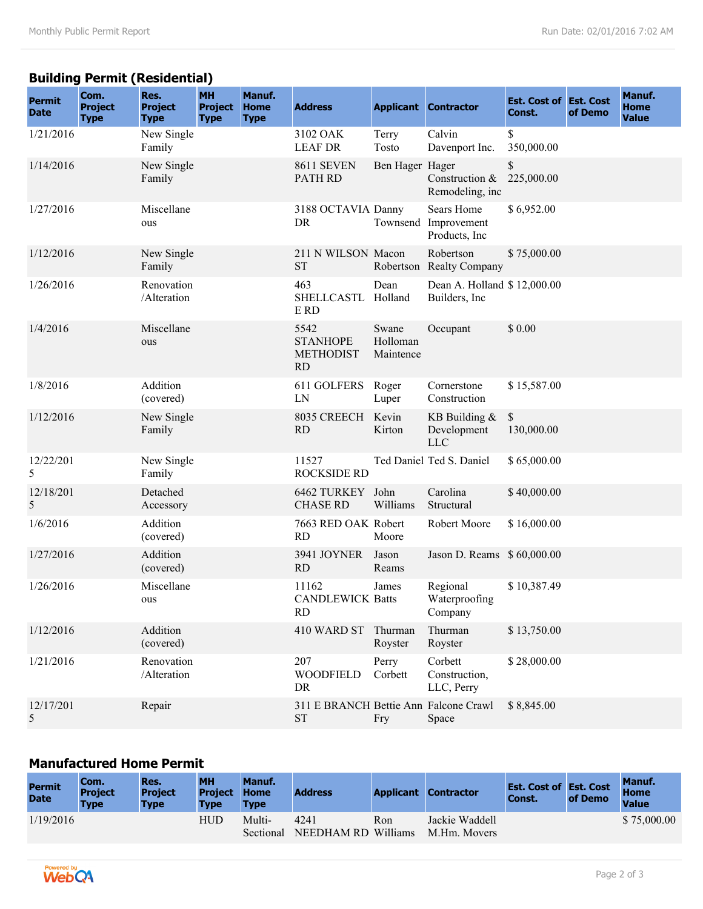## **Building Permit (Residential)**

| <b>Permit</b><br><b>Date</b> | Com.<br><b>Project</b><br><b>Type</b> | Res.<br><b>Project</b><br><b>Type</b> | <b>MH</b><br><b>Project</b><br><b>Type</b> | Manuf.<br><b>Home</b><br><b>Type</b> | <b>Address</b>                                     |                                | <b>Applicant Contractor</b>                          | <b>Est. Cost of Est. Cost</b><br>Const. | of Demo | Manuf.<br><b>Home</b><br><b>Value</b> |
|------------------------------|---------------------------------------|---------------------------------------|--------------------------------------------|--------------------------------------|----------------------------------------------------|--------------------------------|------------------------------------------------------|-----------------------------------------|---------|---------------------------------------|
| 1/21/2016                    |                                       | New Single<br>Family                  |                                            |                                      | 3102 OAK<br><b>LEAF DR</b>                         | Terry<br>Tosto                 | Calvin<br>Davenport Inc.                             | \$<br>350,000.00                        |         |                                       |
| 1/14/2016                    |                                       | New Single<br>Family                  |                                            |                                      | <b>8611 SEVEN</b><br>PATH RD                       | Ben Hager Hager                | Construction &<br>Remodeling, inc                    | \$<br>225,000.00                        |         |                                       |
| 1/27/2016                    |                                       | Miscellane<br>ous                     |                                            |                                      | 3188 OCTAVIA Danny<br>DR                           |                                | Sears Home<br>Townsend Improvement<br>Products, Inc. | \$6,952.00                              |         |                                       |
| 1/12/2016                    |                                       | New Single<br>Family                  |                                            |                                      | 211 N WILSON Macon<br><b>ST</b>                    | Robertson                      | Robertson<br><b>Realty Company</b>                   | \$75,000.00                             |         |                                       |
| 1/26/2016                    |                                       | Renovation<br>/Alteration             |                                            |                                      | 463<br>SHELLCASTL<br>E RD                          | Dean<br>Holland                | Dean A. Holland \$12,000.00<br>Builders, Inc.        |                                         |         |                                       |
| 1/4/2016                     |                                       | Miscellane<br>ous                     |                                            |                                      | 5542<br><b>STANHOPE</b><br><b>METHODIST</b><br>RD  | Swane<br>Holloman<br>Maintence | Occupant                                             | \$0.00                                  |         |                                       |
| 1/8/2016                     |                                       | Addition<br>(covered)                 |                                            |                                      | 611 GOLFERS<br>LN                                  | Roger<br>Luper                 | Cornerstone<br>Construction                          | \$15,587.00                             |         |                                       |
| 1/12/2016                    |                                       | New Single<br>Family                  |                                            |                                      | 8035 CREECH<br><b>RD</b>                           | Kevin<br>Kirton                | KB Building $&$<br>Development<br><b>LLC</b>         | $\$$<br>130,000.00                      |         |                                       |
| 12/22/201<br>5               |                                       | New Single<br>Family                  |                                            |                                      | 11527<br><b>ROCKSIDE RD</b>                        |                                | Ted Daniel Ted S. Daniel                             | \$65,000.00                             |         |                                       |
| 12/18/201<br>5               |                                       | Detached<br>Accessory                 |                                            |                                      | 6462 TURKEY John<br><b>CHASE RD</b>                | Williams                       | Carolina<br>Structural                               | \$40,000.00                             |         |                                       |
| 1/6/2016                     |                                       | Addition<br>(covered)                 |                                            |                                      | 7663 RED OAK Robert<br><b>RD</b>                   | Moore                          | Robert Moore                                         | \$16,000.00                             |         |                                       |
| 1/27/2016                    |                                       | Addition<br>(covered)                 |                                            |                                      | 3941 JOYNER<br><b>RD</b>                           | Jason<br>Reams                 | Jason D. Reams \$ 60,000.00                          |                                         |         |                                       |
| 1/26/2016                    |                                       | Miscellane<br>ous                     |                                            |                                      | 11162<br><b>CANDLEWICK Batts</b><br><b>RD</b>      | James                          | Regional<br>Waterproofing<br>Company                 | \$10,387.49                             |         |                                       |
| 1/12/2016                    |                                       | Addition<br>(covered)                 |                                            |                                      | 410 WARD ST Thurman                                | Royster                        | Thurman<br>Royster                                   | \$13,750.00                             |         |                                       |
| 1/21/2016                    |                                       | Renovation<br>/Alteration             |                                            |                                      | 207<br><b>WOODFIELD</b><br>DR                      | Perry<br>Corbett               | Corbett<br>Construction,<br>LLC, Perry               | \$28,000.00                             |         |                                       |
| 12/17/201<br>5               |                                       | Repair                                |                                            |                                      | 311 E BRANCH Bettie Ann Falcone Crawl<br><b>ST</b> | Fry                            | Space                                                | \$8,845.00                              |         |                                       |

#### **Manufactured Home Permit**

| <b>Permit</b><br><b>Date</b> | Com.<br><b>Project</b><br><b>Type</b> | Res.<br><b>Project</b><br><b>Type</b> | <b>MH</b><br><b>Project Home</b><br><b>Type</b> | Manuf.<br><b>Type</b> | <b>Address</b>              |     | <b>Applicant Contractor</b>    | <b>Est. Cost of Est. Cost</b><br><b>Const.</b> | of Demo | Manuf.<br><b>Home</b><br><b>Value</b> |
|------------------------------|---------------------------------------|---------------------------------------|-------------------------------------------------|-----------------------|-----------------------------|-----|--------------------------------|------------------------------------------------|---------|---------------------------------------|
| 1/19/2016                    |                                       |                                       | HUD                                             | Multi-<br>Sectional   | 4241<br>NEEDHAM RD Williams | Ron | Jackie Waddell<br>M.Hm. Movers |                                                |         | \$75,000.00                           |